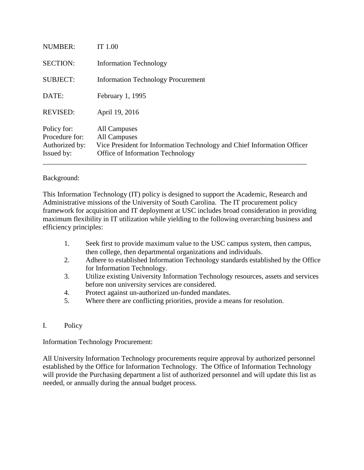| Issued by:      | <b>Office of Information Technology</b>                                 |
|-----------------|-------------------------------------------------------------------------|
| Authorized by:  | Vice President for Information Technology and Chief Information Officer |
| Procedure for:  | All Campuses                                                            |
| Policy for:     | All Campuses                                                            |
| <b>REVISED:</b> | April 19, 2016                                                          |
| DATE:           | February 1, 1995                                                        |
| <b>SUBJECT:</b> | <b>Information Technology Procurement</b>                               |
| <b>SECTION:</b> | <b>Information Technology</b>                                           |
| <b>NUMBER:</b>  | IT 1.00                                                                 |
|                 |                                                                         |

## Background:

This Information Technology (IT) policy is designed to support the Academic, Research and Administrative missions of the University of South Carolina. The IT procurement policy framework for acquisition and IT deployment at USC includes broad consideration in providing maximum flexibility in IT utilization while yielding to the following overarching business and efficiency principles:

- 1. Seek first to provide maximum value to the USC campus system, then campus, then college, then departmental organizations and individuals.
- 2. Adhere to established Information Technology standards established by the Office for Information Technology.
- 3. Utilize existing University Information Technology resources, assets and services before non university services are considered.
- 4. Protect against un-authorized un-funded mandates.
- 5. Where there are conflicting priorities, provide a means for resolution.
- I. Policy

Information Technology Procurement:

All University Information Technology procurements require approval by authorized personnel established by the Office for Information Technology. The Office of Information Technology will provide the Purchasing department a list of authorized personnel and will update this list as needed, or annually during the annual budget process.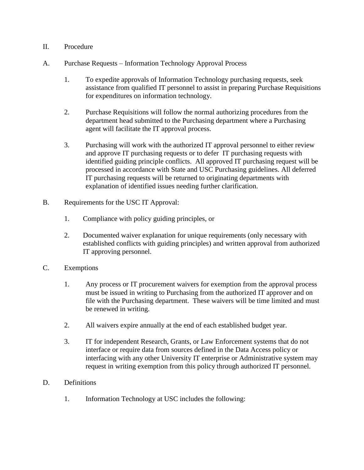## II. Procedure

- A. Purchase Requests Information Technology Approval Process
	- 1. To expedite approvals of Information Technology purchasing requests, seek assistance from qualified IT personnel to assist in preparing Purchase Requisitions for expenditures on information technology.
	- 2. Purchase Requisitions will follow the normal authorizing procedures from the department head submitted to the Purchasing department where a Purchasing agent will facilitate the IT approval process.
	- 3. Purchasing will work with the authorized IT approval personnel to either review and approve IT purchasing requests or to defer IT purchasing requests with identified guiding principle conflicts. All approved IT purchasing request will be processed in accordance with State and USC Purchasing guidelines. All deferred IT purchasing requests will be returned to originating departments with explanation of identified issues needing further clarification.
- B. Requirements for the USC IT Approval:
	- 1. Compliance with policy guiding principles, or
	- 2. Documented waiver explanation for unique requirements (only necessary with established conflicts with guiding principles) and written approval from authorized IT approving personnel.
- C. Exemptions
	- 1. Any process or IT procurement waivers for exemption from the approval process must be issued in writing to Purchasing from the authorized IT approver and on file with the Purchasing department. These waivers will be time limited and must be renewed in writing.
	- 2. All waivers expire annually at the end of each established budget year.
	- 3. IT for independent Research, Grants, or Law Enforcement systems that do not interface or require data from sources defined in the Data Access policy or interfacing with any other University IT enterprise or Administrative system may request in writing exemption from this policy through authorized IT personnel.
- D. Definitions
	- 1. Information Technology at USC includes the following: